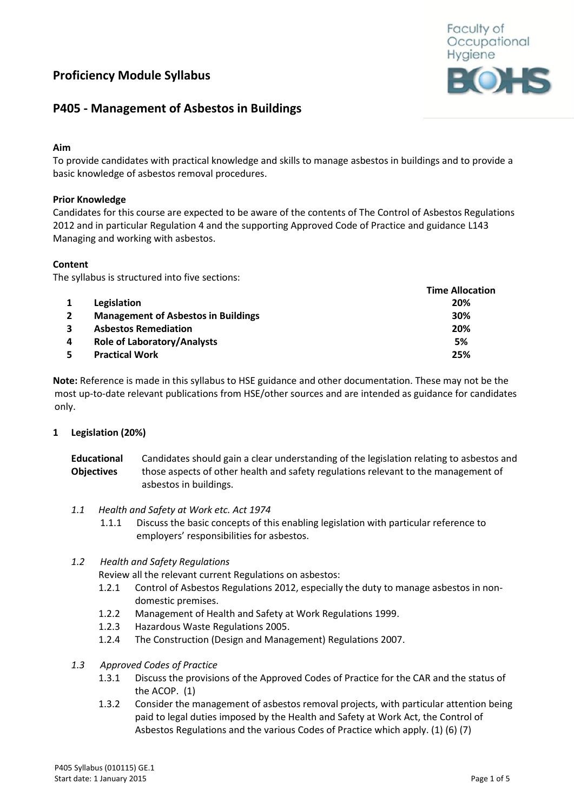# **Proficiency Module Syllabus**



## **P405 - Management of Asbestos in Buildings**

## **Aim**

To provide candidates with practical knowledge and skills to manage asbestos in buildings and to provide a basic knowledge of asbestos removal procedures.

## **Prior Knowledge**

Candidates for this course are expected to be aware of the contents of The Control of Asbestos Regulations 2012 and in particular Regulation 4 and the supporting Approved Code of Practice and guidance L143 Managing and working with asbestos.

## **Content**

The syllabus is structured into five sections:

|   |                                            | <b>Time Allocation</b> |
|---|--------------------------------------------|------------------------|
|   | Legislation                                | 20%                    |
|   | <b>Management of Asbestos in Buildings</b> | 30%                    |
|   | <b>Asbestos Remediation</b>                | 20%                    |
| 4 | <b>Role of Laboratory/Analysts</b>         | 5%                     |
|   | <b>Practical Work</b>                      | 25%                    |

**Note:** Reference is made in this syllabus to HSE guidance and other documentation. These may not be the most up-to-date relevant publications from HSE/other sources and are intended as guidance for candidates only.

#### **1 Legislation (20%)**

| <b>Educational</b> | Candidates should gain a clear understanding of the legislation relating to asbestos and |
|--------------------|------------------------------------------------------------------------------------------|
| <b>Objectives</b>  | those aspects of other health and safety regulations relevant to the management of       |
|                    | asbestos in buildings.                                                                   |

- *1.1 Health and Safety at Work etc. Act 1974*
	- 1.1.1 Discuss the basic concepts of this enabling legislation with particular reference to employers' responsibilities for asbestos.

#### *1.2 Health and Safety Regulations*

Review all the relevant current Regulations on asbestos:

- 1.2.1 Control of Asbestos Regulations 2012, especially the duty to manage asbestos in nondomestic premises.
- 1.2.2 Management of Health and Safety at Work Regulations 1999.
- 1.2.3 Hazardous Waste Regulations 2005.
- 1.2.4 The Construction (Design and Management) Regulations 2007.
- *1.3 Approved Codes of Practice*
	- 1.3.1 Discuss the provisions of the Approved Codes of Practice for the CAR and the status of the ACOP. (1)
	- 1.3.2 Consider the management of asbestos removal projects, with particular attention being paid to legal duties imposed by the Health and Safety at Work Act, the Control of Asbestos Regulations and the various Codes of Practice which apply. (1) (6) (7)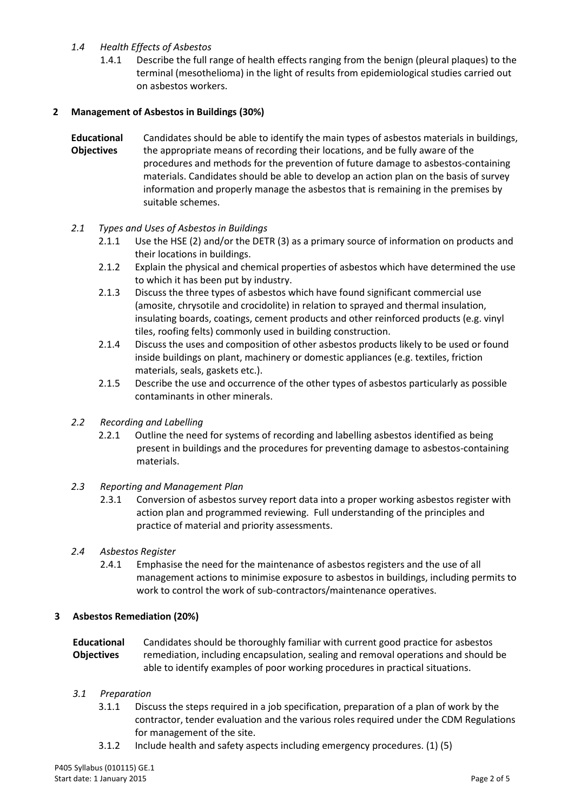## *1.4 Health Effects of Asbestos*

1.4.1 Describe the full range of health effects ranging from the benign (pleural plaques) to the terminal (mesothelioma) in the light of results from epidemiological studies carried out on asbestos workers.

## **2 Management of Asbestos in Buildings (30%)**

**Educational Objectives** Candidates should be able to identify the main types of asbestos materials in buildings, the appropriate means of recording their locations, and be fully aware of the procedures and methods for the prevention of future damage to asbestos-containing materials. Candidates should be able to develop an action plan on the basis of survey information and properly manage the asbestos that is remaining in the premises by suitable schemes.

## *2.1 Types and Uses of Asbestos in Buildings*

- 2.1.1 Use the HSE (2) and/or the DETR (3) as a primary source of information on products and their locations in buildings.
- 2.1.2 Explain the physical and chemical properties of asbestos which have determined the use to which it has been put by industry.
- 2.1.3 Discuss the three types of asbestos which have found significant commercial use (amosite, chrysotile and crocidolite) in relation to sprayed and thermal insulation, insulating boards, coatings, cement products and other reinforced products (e.g. vinyl tiles, roofing felts) commonly used in building construction.
- 2.1.4 Discuss the uses and composition of other asbestos products likely to be used or found inside buildings on plant, machinery or domestic appliances (e.g. textiles, friction materials, seals, gaskets etc.).
- 2.1.5 Describe the use and occurrence of the other types of asbestos particularly as possible contaminants in other minerals.

#### *2.2 Recording and Labelling*

2.2.1 Outline the need for systems of recording and labelling asbestos identified as being present in buildings and the procedures for preventing damage to asbestos-containing materials.

#### *2.3 Reporting and Management Plan*

2.3.1 Conversion of asbestos survey report data into a proper working asbestos register with action plan and programmed reviewing. Full understanding of the principles and practice of material and priority assessments.

#### *2.4 Asbestos Register*

2.4.1 Emphasise the need for the maintenance of asbestos registers and the use of all management actions to minimise exposure to asbestos in buildings, including permits to work to control the work of sub-contractors/maintenance operatives.

#### **3 Asbestos Remediation (20%)**

**Educational Objectives** Candidates should be thoroughly familiar with current good practice for asbestos remediation, including encapsulation, sealing and removal operations and should be able to identify examples of poor working procedures in practical situations.

#### *3.1 Preparation*

- 3.1.1 Discuss the steps required in a job specification, preparation of a plan of work by the contractor, tender evaluation and the various roles required under the CDM Regulations for management of the site.
- 3.1.2 Include health and safety aspects including emergency procedures. (1) (5)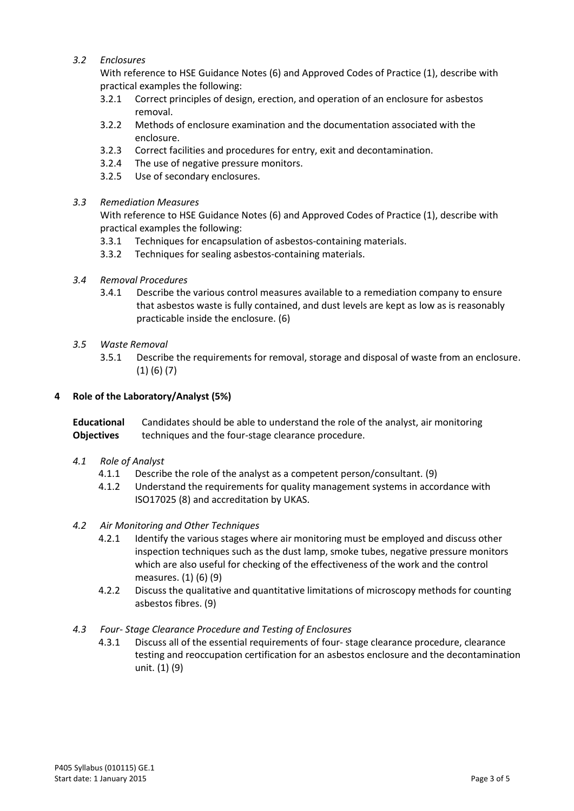## *3.2 Enclosures*

With reference to HSE Guidance Notes (6) and Approved Codes of Practice (1), describe with practical examples the following:

- 3.2.1 Correct principles of design, erection, and operation of an enclosure for asbestos removal.
- 3.2.2 Methods of enclosure examination and the documentation associated with the enclosure.
- 3.2.3 Correct facilities and procedures for entry, exit and decontamination.
- 3.2.4 The use of negative pressure monitors.
- 3.2.5 Use of secondary enclosures.

#### *3.3 Remediation Measures*

With reference to HSE Guidance Notes (6) and Approved Codes of Practice (1), describe with practical examples the following:

- 3.3.1 Techniques for encapsulation of asbestos-containing materials.
- 3.3.2 Techniques for sealing asbestos-containing materials.
- *3.4 Removal Procedures*
	- 3.4.1 Describe the various control measures available to a remediation company to ensure that asbestos waste is fully contained, and dust levels are kept as low as is reasonably practicable inside the enclosure. (6)
- *3.5 Waste Removal*
	- 3.5.1 Describe the requirements for removal, storage and disposal of waste from an enclosure. (1) (6) (7)

#### **4 Role of the Laboratory/Analyst (5%)**

**Educational Objectives** Candidates should be able to understand the role of the analyst, air monitoring techniques and the four-stage clearance procedure.

- *4.1 Role of Analyst*
	- 4.1.1 Describe the role of the analyst as a competent person/consultant. (9)
	- 4.1.2 Understand the requirements for quality management systems in accordance with ISO17025 (8) and accreditation by UKAS.

#### *4.2 Air Monitoring and Other Techniques*

- 4.2.1 Identify the various stages where air monitoring must be employed and discuss other inspection techniques such as the dust lamp, smoke tubes, negative pressure monitors which are also useful for checking of the effectiveness of the work and the control measures. (1) (6) (9)
- 4.2.2 Discuss the qualitative and quantitative limitations of microscopy methods for counting asbestos fibres. (9)

#### *4.3 Four- Stage Clearance Procedure and Testing of Enclosures*

4.3.1 Discuss all of the essential requirements of four- stage clearance procedure, clearance testing and reoccupation certification for an asbestos enclosure and the decontamination unit. (1) (9)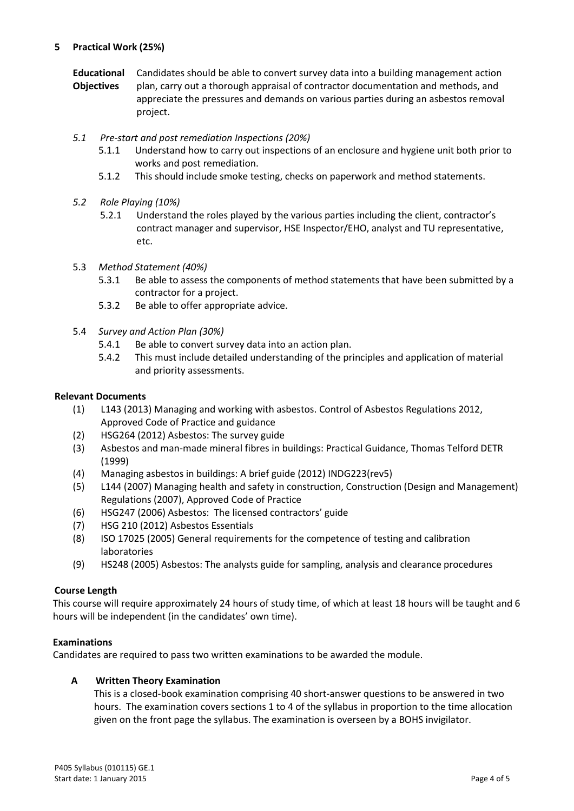## **5 Practical Work (25%)**

- **Educational Objectives** Candidates should be able to convert survey data into a building management action plan, carry out a thorough appraisal of contractor documentation and methods, and appreciate the pressures and demands on various parties during an asbestos removal project.
- *5.1 Pre-start and post remediation Inspections (20%)*
	- 5.1.1 Understand how to carry out inspections of an enclosure and hygiene unit both prior to works and post remediation.
	- 5.1.2 This should include smoke testing, checks on paperwork and method statements.
- *5.2 Role Playing (10%)*
	- 5.2.1 Understand the roles played by the various parties including the client, contractor's contract manager and supervisor, HSE Inspector/EHO, analyst and TU representative, etc.
- 5.3 *Method Statement (40%)*
	- 5.3.1 Be able to assess the components of method statements that have been submitted by a contractor for a project.
	- 5.3.2 Be able to offer appropriate advice.
- 5.4 *Survey and Action Plan (30%)*
	- 5.4.1 Be able to convert survey data into an action plan.
	- 5.4.2 This must include detailed understanding of the principles and application of material and priority assessments.

#### **Relevant Documents**

- (1) L143 (2013) Managing and working with asbestos. Control of Asbestos Regulations 2012, Approved Code of Practice and guidance
- (2) HSG264 (2012) Asbestos: The survey guide
- (3) Asbestos and man-made mineral fibres in buildings: Practical Guidance, Thomas Telford DETR (1999)
- (4) Managing asbestos in buildings: A brief guide (2012) INDG223(rev5)
- (5) L144 (2007) Managing health and safety in construction, Construction (Design and Management) Regulations (2007), Approved Code of Practice
- (6) HSG247 (2006) Asbestos: The licensed contractors' guide
- (7) HSG 210 (2012) Asbestos Essentials
- (8) ISO 17025 (2005) General requirements for the competence of testing and calibration laboratories
- (9) HS248 (2005) Asbestos: The analysts guide for sampling, analysis and clearance procedures

#### **Course Length**

This course will require approximately 24 hours of study time, of which at least 18 hours will be taught and 6 hours will be independent (in the candidates' own time).

#### **Examinations**

Candidates are required to pass two written examinations to be awarded the module.

## **A Written Theory Examination**

This is a closed-book examination comprising 40 short-answer questions to be answered in two hours. The examination covers sections 1 to 4 of the syllabus in proportion to the time allocation given on the front page the syllabus. The examination is overseen by a BOHS invigilator.